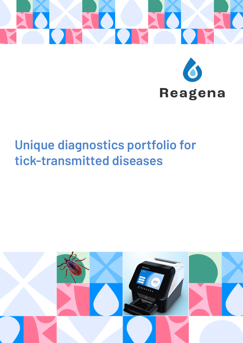

# **Unique diagnostics portfolio for tick-transmitted diseases**

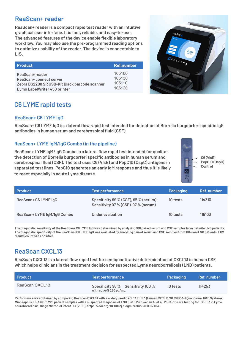## **ReaScan+ reader**

**ReaScan+ reader is a compact rapid test reader with an intuitive graphical user interface. It is fast, reliable, and easy-to-use. The advanced features of the device enable flexible laboratory workflow. You may also use the pre-programmed reading options to optimize usability of the reader. The device is connectable to**  LIS.

| <b>Product</b>                                | Ref.number |
|-----------------------------------------------|------------|
| ReaScan+ reader                               | 105100     |
| ReaScan+ connect server                       | 105130     |
| Zebra DS2208 SR USB-Kit Black barcode scanner | 105110     |
| Dymo LabelWriter 450 printer                  | 105120     |



# **C6 LYME rapid tests**

#### **ReaScan+ C6 LYME IgG**

**ReaScan+ C6 LYME IgG is a lateral flow rapid test intended for detection of Borrelia burgdorferi specific IgG antibodies in human serum and cerebrospinal fluid (CSF).**

#### **ReaScan+ LYME IgM/IgG Combo (in the pipeline)**

**ReaScan+ LYME IgM/IgG Combo is a lateral flow rapid test intended for qualitative detection of Borrelia burgdorferi specific antibodies in human serum and cerebrospinal fluid (CSF). The test uses C6 (VlsE) and PepC10 (OspC) antigens in separated test lines. PepC10 generates an early IgM response and thus it is likely to react especially in acute Lyme disease.**



| <b>Product</b>              | <b>Test performance</b>                                                      | Packaging | Ref. number |
|-----------------------------|------------------------------------------------------------------------------|-----------|-------------|
| ReaScan+ C6 LYME IgG        | Specificity 99 % (CSF), 95 % (serum)<br>Sensitivity 97 % (CSF), 97 % (serum) | 10 tests  | 114313      |
| ReaScan+ LYME IgM/IgG Combo | Under evaluation                                                             | 10 tests  | 115103      |

**The diagnostic sensitivity of the ReaScan+ C6 LYME IgG was determined by analyzing 108 paired serum and CSF samples from definite LNB patients. The diagnostic specificity of the ReaScan+ C6 LYME IgG was evaluated by analyzing paired serum and CSF samples from 104 non-LNB patients. EQV results counted as positive.**

## **ReaScan CXCL13**

**ReaScan CXCL13 is a lateral flow rapid test for semiquantitative determination of CXCL13 in human CSF, which helps clinicians in the treatment decision for suspected Lyme neuroborreliosis (LNB) patients.**

| <b>Product</b> | <b>Test performance</b>                                      | Packaging | Ref. number |
|----------------|--------------------------------------------------------------|-----------|-------------|
| ReaScan CXCL13 | Specificity 96 % Sensitivity 100 %<br>with cut-off 250 pg/mL | 10 tests  | 114253      |

**Performance was obtained by comparing ReaScan CXCL13 with a widely used CXCL13 ELISA (Human CXCL13/BLC/BCA-1 Quantikine, R&D Systems, Minneapolis, USA) with 225 patient samples with a suspected diagnosis of LNB. Ref.: Pietikäinen A, et al, Point-of-care testing for CXCL13 in Lyme neuroborreliosis, Diagn Microbiol Infect Dis (2018), https://doi.org/10.1016/j.diagmicrobio.2018.02.013.**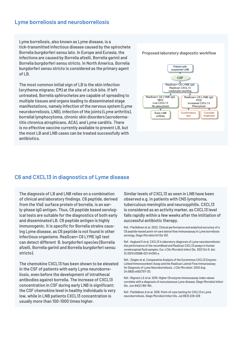#### **Lyme borreliosis and neuroborreliosis**

**Lyme borreliosis, also known as Lyme disease, is a tick-transmitted infectious disease caused by the spirochete Borrelia burgdorferi sensu lato. In Europe and Eurasia, the infections are caused by Borrelia afzelii, Borrelia garinii and Borrelia burgdorferi sensu stricto. In North America, Borrelia burgdorferi sensu stricto is considered as the primary agent of LB.** 

**The most common initial sign of LB is the skin infection (erythema migrans; EM) at the site of a tick bite. If left untreated, Borrelia sphirochetes are capable of spreading to multiple tissues and organs leading to disseminated stage manifestations, namely infection of the nervous system (Lyme neuroborreliosis, LNB), infection of the joints (Lyme arthritis), borrelial lymphocytoma, chronic skin disorders (acrodermatitis chronica atrophicans, ACA), and Lyme carditis. There is no effective vaccine currently available to prevent LB, but the most LB and LNB cases can be treated successfully with antibiotics.**



#### **C6 and CXCL13 in diagnostics of Lyme disease**

**The diagnosis of LB and LNB relies on a combination of clinical and laboratory findings. C6 peptide, derived from the VlsE surface protein of borrelia, is an early-phase IgG antigen. Thus, C6 peptide based serological tests are suitable for the diagnostics of both early and disseminated LB. C6 peptide antigen is highly immunogenic. It is specific for Borrelia strains causing Lyme disease, as C6 peptide is not found in other infectious organisms. ReaScan+ C6 LYME IgG test can detect different B. burgdorferi species (Borrelia afzelii, Borrelia garinii and Borrelia burgdorferi sensu stricto).** 

**The chemokine CXCL13 has been shown to be elevated in the CSF of patients with early Lyme neuroborreliosis, even before the development of intrathecal antibodies against borrelia. The increase of CXCL13 concentration in CSF during early LNB is significant; the CSF chemokine level in healthy individuals is very low, while in LNB patients CXCL13 concentration is usually more than 100-1000 times higher.**

**Similar levels of CXCL13 as seen in LNB have been observed e.g. in patients with CNS lymphoma, tuberculous meningitis and neurosyphilis. CXCL13 is considered as an activity marker, as CXCL13 level falls rapidly within a few weeks after the intitiation of successful antibiotic therapy.**

**Ref.: Pietikäinen et al. 2022. Clinical performance and analytical accuracy of a C6 peptide-based point-of-care lateral flow immunoassay in Lyme borreliosis serology, Diagn Microbiol Inf Dis 103.**

**Ref.: Haglund S et al. CXCL13 in laboratory diagnosis of Lyme neuroborreliosisthe performance of the recomBead and ReaScan CXCL13 assays in human cerebrospinal fluid samples. Eur J Clin Microbiol Infect Dis. 2021 Oct 9. doi: 10.1007/s10096-021-04350-y.**

**Ref.: Ziegler et al. Comparative Analysis of the Euroimmun CXCL13 Enzyme-LInked Immonosorbent Assay and the ReaScan Lateral Flow Immunoassay for Diagnosis of Lyme Neuroborreliosis. J Clin Microbiol. 2020 Aug 24;58(9):e002707-20.**

**Ref.: Nigrovic LE et al. 2019. Higher C6 enzyme immunoassay index values correlate with a diagnosis of noncutaneous Lyme disease. Diagn Microbiol Infect Dis. Jun;94(2):160-164.**

**Ref.: Pietikäinen A et al. 2018. Point-of-care testing for CXCL13 in Lyme neuroborreliosis. Diagn Microbiol Infect Dis. Jul;91(3):226-228**